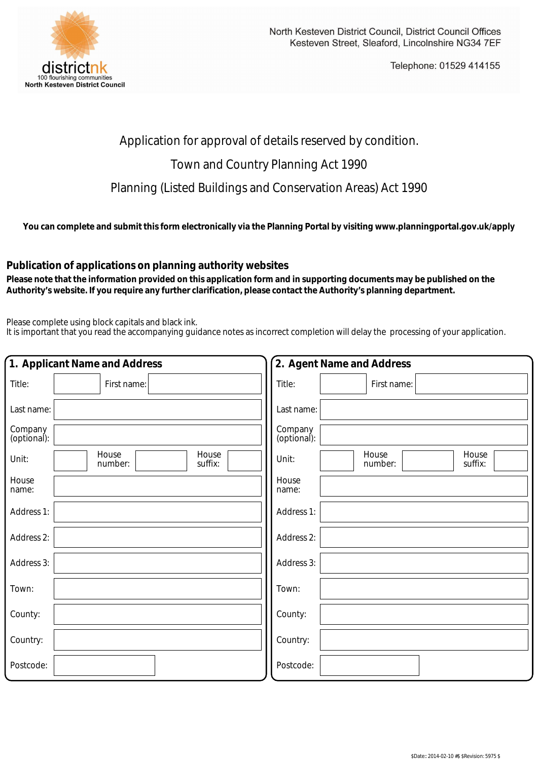

Telephone: 01529 414155

## Application for approval of details reserved by condition.

## Town and Country Planning Act 1990

Planning (Listed Buildings and Conservation Areas) Act 1990

**You can complete and submit this form electronically via the Planning Portal by visiting www.planningportal.gov.uk/apply**

## **Publication of applications on planning authority websites**

 **Please note that the information provided on this application form and in supporting documents may be published on the Authority's website. If you require any further clarification, please contact the Authority's planning department.**

Please complete using block capitals and black ink.

It is important that you read the accompanying guidance notes as incorrect completion will delay the processing of your application.

| 1. Applicant Name and Address |                                      | 2. Agent Name and Address                     |
|-------------------------------|--------------------------------------|-----------------------------------------------|
| Title:                        | First name:                          | Title:<br>First name:                         |
| Last name:                    |                                      | Last name:                                    |
| Company<br>(optional):        |                                      | Company<br>(optional):                        |
| Unit:                         | House<br>House<br>suffix:<br>number: | House<br>House<br>Unit:<br>number:<br>suffix: |
| House<br>name:                |                                      | House<br>name:                                |
| Address 1:                    |                                      | Address 1:                                    |
| Address 2:                    |                                      | Address 2:                                    |
| Address 3:                    |                                      | Address 3:                                    |
| Town:                         |                                      | Town:                                         |
| County:                       |                                      | County:                                       |
| Country:                      |                                      | Country:                                      |
| Postcode:                     |                                      | Postcode:                                     |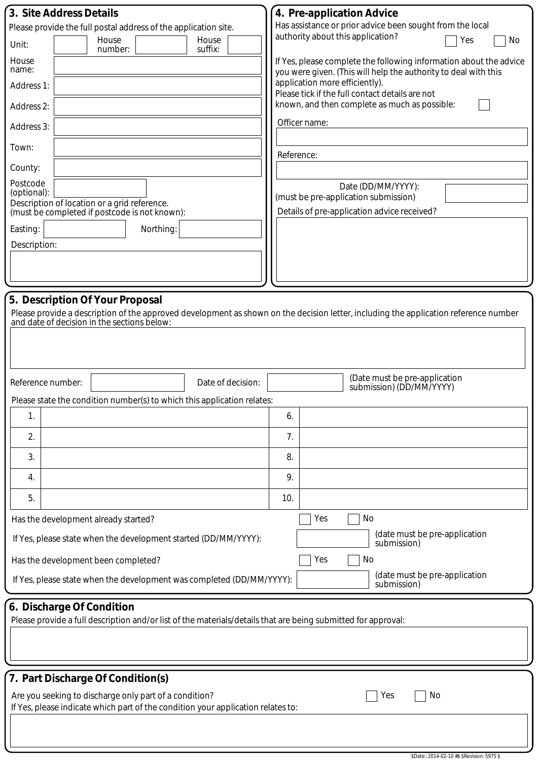| 3. Site Address Details                                                                                                                                                 | 4. Pre-application Advice                                                                                                             |  |  |  |  |
|-------------------------------------------------------------------------------------------------------------------------------------------------------------------------|---------------------------------------------------------------------------------------------------------------------------------------|--|--|--|--|
| Please provide the full postal address of the application site.                                                                                                         | Has assistance or prior advice been sought from the local<br>authority about this application?                                        |  |  |  |  |
| House<br>House<br>Unit:<br>suffix:<br>number:                                                                                                                           | Yes<br>No                                                                                                                             |  |  |  |  |
| House<br>name:                                                                                                                                                          | If Yes, please complete the following information about the advice<br>you were given. (This will help the authority to deal with this |  |  |  |  |
| Address 1:                                                                                                                                                              | application more efficiently).<br>Please tick if the full contact details are not                                                     |  |  |  |  |
| Address 2:                                                                                                                                                              | known, and then complete as much as possible:                                                                                         |  |  |  |  |
| Address 3:                                                                                                                                                              | Officer name:                                                                                                                         |  |  |  |  |
| Town:                                                                                                                                                                   | Reference:                                                                                                                            |  |  |  |  |
| County:                                                                                                                                                                 |                                                                                                                                       |  |  |  |  |
| Postcode<br>(optional):                                                                                                                                                 | Date (DD/MM/YYYY):                                                                                                                    |  |  |  |  |
| Description of location or a grid reference.<br>(must be completed if postcode is not known):                                                                           | (must be pre-application submission)<br>Details of pre-application advice received?                                                   |  |  |  |  |
| Easting:<br>Northing:                                                                                                                                                   |                                                                                                                                       |  |  |  |  |
| Description:                                                                                                                                                            |                                                                                                                                       |  |  |  |  |
|                                                                                                                                                                         |                                                                                                                                       |  |  |  |  |
|                                                                                                                                                                         |                                                                                                                                       |  |  |  |  |
|                                                                                                                                                                         |                                                                                                                                       |  |  |  |  |
| 5. Description Of Your Proposal<br>Please provide a description of the approved development as shown on the decision letter, including the application reference number |                                                                                                                                       |  |  |  |  |
| and date of decision in the sections below:                                                                                                                             |                                                                                                                                       |  |  |  |  |
|                                                                                                                                                                         |                                                                                                                                       |  |  |  |  |
|                                                                                                                                                                         |                                                                                                                                       |  |  |  |  |
| Reference number:<br>Date of decision:                                                                                                                                  | (Date must be pre-application                                                                                                         |  |  |  |  |
|                                                                                                                                                                         | submission) (DD/MM/YYYY)                                                                                                              |  |  |  |  |
| Please state the condition number(s) to which this application relates:<br>1.                                                                                           | 6.                                                                                                                                    |  |  |  |  |
|                                                                                                                                                                         |                                                                                                                                       |  |  |  |  |
| 2.<br>3.                                                                                                                                                                | 7.<br>8.                                                                                                                              |  |  |  |  |
|                                                                                                                                                                         |                                                                                                                                       |  |  |  |  |
| 4.                                                                                                                                                                      | 9.                                                                                                                                    |  |  |  |  |
| 5.                                                                                                                                                                      | 10.                                                                                                                                   |  |  |  |  |
| Has the development already started?                                                                                                                                    | Yes<br>No                                                                                                                             |  |  |  |  |
| (date must be pre-application<br>If Yes, please state when the development started (DD/MM/YYYY):<br>submission)                                                         |                                                                                                                                       |  |  |  |  |
| Has the development been completed?                                                                                                                                     | Yes<br>No                                                                                                                             |  |  |  |  |
| (date must be pre-application<br>If Yes, please state when the development was completed (DD/MM/YYYY):<br>submission)                                                   |                                                                                                                                       |  |  |  |  |
| 6. Discharge Of Condition                                                                                                                                               |                                                                                                                                       |  |  |  |  |
| Please provide a full description and/or list of the materials/details that are being submitted for approval:                                                           |                                                                                                                                       |  |  |  |  |
|                                                                                                                                                                         |                                                                                                                                       |  |  |  |  |
|                                                                                                                                                                         |                                                                                                                                       |  |  |  |  |
| 7. Part Discharge Of Condition(s)                                                                                                                                       |                                                                                                                                       |  |  |  |  |
| No<br>Are you seeking to discharge only part of a condition?<br>Yes                                                                                                     |                                                                                                                                       |  |  |  |  |
| If Yes, please indicate which part of the condition your application relates to:                                                                                        |                                                                                                                                       |  |  |  |  |
|                                                                                                                                                                         |                                                                                                                                       |  |  |  |  |
|                                                                                                                                                                         |                                                                                                                                       |  |  |  |  |